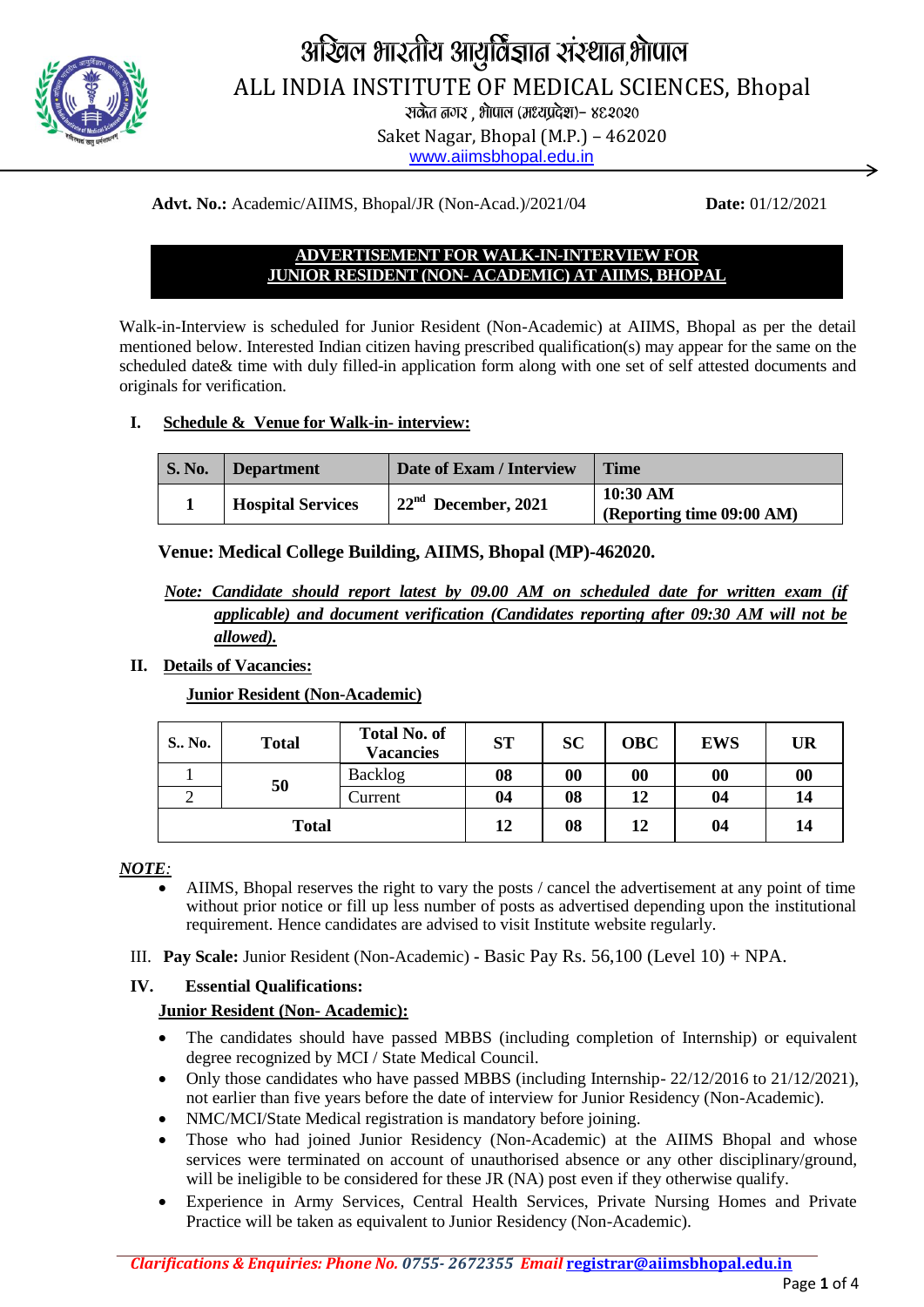

# अखिल भारतीय आयुर्विज्ञात संस्थात,भोपाल ALL INDIA INSTITUTE OF MEDICAL SCIENCES, Bhopal

Rand Gone , Antura (Healthcan) – 88.2020

Saket Nagar, Bhopal (M.P.) – 462020 [www.aiimsbhopal.edu.in](http://www.aiimsbhopal.edu.in/)

**Advt. No.:** Academic/AIIMS, Bhopal/JR (Non-Acad.)/2021/04 **Date:** 01/12/2021

## **ADVERTISEMENT FOR WALK-IN-INTERVIEW FOR JUNIOR RESIDENT (NON- ACADEMIC) AT AIIMS, BHOPAL**

Walk-in-Interview is scheduled for Junior Resident (Non-Academic) at AIIMS, Bhopal as per the detail mentioned below. Interested Indian citizen having prescribed qualification(s) may appear for the same on the scheduled date& time with duly filled-in application form along with one set of self attested documents and originals for verification.

## **I. Schedule & Venue for Walk-in- interview:**

| <b>S. No.</b> | Department               | Date of Exam / Interview | <b>Time</b>                           |  |
|---------------|--------------------------|--------------------------|---------------------------------------|--|
|               | <b>Hospital Services</b> | $22nd$ December, 2021    | 10:30 AM<br>(Reporting time 09:00 AM) |  |

## **Venue: Medical College Building, AIIMS, Bhopal (MP)-462020.**

## *Note: Candidate should report latest by 09.00 AM on scheduled date for written exam (if applicable) and document verification (Candidates reporting after 09:30 AM will not be allowed).*

## **II. Details of Vacancies:**

## **Junior Resident (Non-Academic)**

| S., No.      | <b>Total</b> | <b>Total No. of</b><br><b>Vacancies</b> | <b>ST</b> | <b>SC</b> | <b>OBC</b> | <b>EWS</b> | <b>UR</b>         |
|--------------|--------------|-----------------------------------------|-----------|-----------|------------|------------|-------------------|
|              | 50           | Backlog                                 | 08        | 00        | 00         | 00         | $\boldsymbol{00}$ |
|              |              | Current                                 | 04        | 08        | 12         | 04         | 14                |
| <b>Total</b> |              | 12                                      | 08        | 12        | 04         | 14         |                   |

#### *NOTE:*

- AIIMS, Bhopal reserves the right to vary the posts / cancel the advertisement at any point of time without prior notice or fill up less number of posts as advertised depending upon the institutional requirement. Hence candidates are advised to visit Institute website regularly.
- III. **Pay Scale:** Junior Resident (Non-Academic) **-** Basic Pay Rs. 56,100 (Level 10) + NPA.

## **IV. Essential Qualifications:**

#### **Junior Resident (Non- Academic):**

- The candidates should have passed MBBS (including completion of Internship) or equivalent degree recognized by MCI / State Medical Council.
- Only those candidates who have passed MBBS (including Internship- 22/12/2016 to 21/12/2021), not earlier than five years before the date of interview for Junior Residency (Non-Academic).
- NMC/MCI/State Medical registration is mandatory before joining.
- Those who had joined Junior Residency (Non-Academic) at the AIIMS Bhopal and whose services were terminated on account of unauthorised absence or any other disciplinary/ground, will be ineligible to be considered for these JR (NA) post even if they otherwise qualify.
- Experience in Army Services, Central Health Services, Private Nursing Homes and Private Practice will be taken as equivalent to Junior Residency (Non-Academic).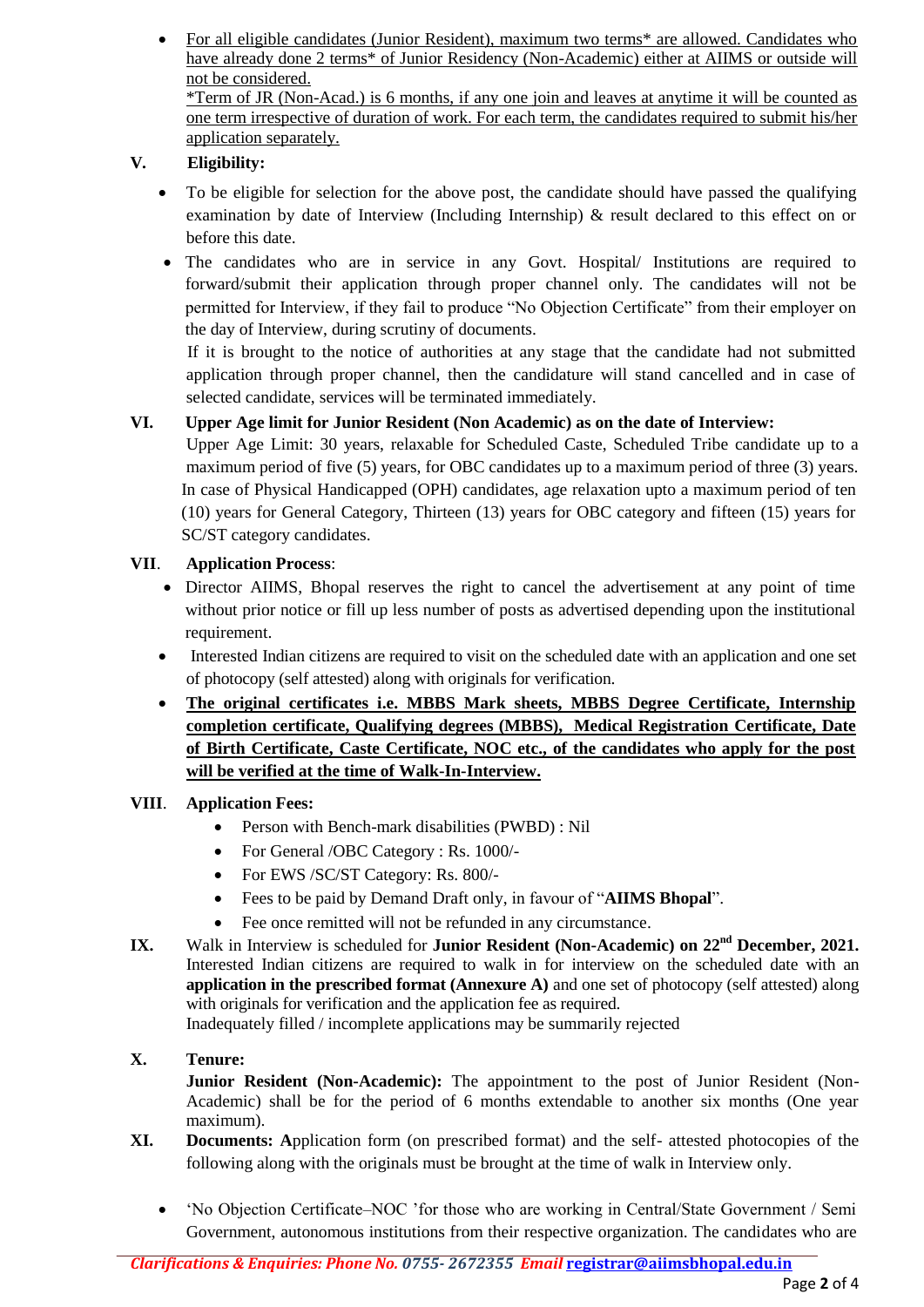For all eligible candidates (Junior Resident), maximum two terms\* are allowed. Candidates who have already done 2 terms\* of Junior Residency (Non-Academic) either at AIIMS or outside will not be considered. \*Term of JR (Non-Acad.) is 6 months, if any one join and leaves at anytime it will be counted as one term irrespective of duration of work. For each term, the candidates required to submit his/her application separately.

# **V. Eligibility:**

- To be eligible for selection for the above post, the candidate should have passed the qualifying examination by date of Interview (Including Internship) & result declared to this effect on or before this date.
- The candidates who are in service in any Govt. Hospital/ Institutions are required to forward/submit their application through proper channel only. The candidates will not be permitted for Interview, if they fail to produce "No Objection Certificate" from their employer on the day of Interview, during scrutiny of documents.

If it is brought to the notice of authorities at any stage that the candidate had not submitted application through proper channel, then the candidature will stand cancelled and in case of selected candidate, services will be terminated immediately.

## **VI. Upper Age limit for Junior Resident (Non Academic) as on the date of Interview:**

Upper Age Limit: 30 years, relaxable for Scheduled Caste, Scheduled Tribe candidate up to a maximum period of five (5) years, for OBC candidates up to a maximum period of three (3) years. In case of Physical Handicapped (OPH) candidates, age relaxation upto a maximum period of ten (10) years for General Category, Thirteen (13) years for OBC category and fifteen (15) years for SC/ST category candidates.

## **VII**. **Application Process**:

- Director AIIMS, Bhopal reserves the right to cancel the advertisement at any point of time without prior notice or fill up less number of posts as advertised depending upon the institutional requirement.
- Interested Indian citizens are required to visit on the scheduled date with an application and one set of photocopy (self attested) along with originals for verification.
- **The original certificates i.e. MBBS Mark sheets, MBBS Degree Certificate, Internship completion certificate, Qualifying degrees (MBBS), Medical Registration Certificate, Date of Birth Certificate, Caste Certificate, NOC etc., of the candidates who apply for the post will be verified at the time of Walk-In-Interview.**

## **VIII**. **Application Fees:**

- Person with Bench-mark disabilities (PWBD) : Nil
- For General /OBC Category : Rs. 1000/-
- For EWS /SC/ST Category: Rs. 800/-
- Fees to be paid by Demand Draft only, in favour of "**AIIMS Bhopal**".
- Fee once remitted will not be refunded in any circumstance.
- **IX.** Walk in Interview is scheduled for **Junior Resident (Non-Academic) on 22nd December, 2021.** Interested Indian citizens are required to walk in for interview on the scheduled date with an **application in the prescribed format (Annexure A)** and one set of photocopy (self attested) along with originals for verification and the application fee as required. Inadequately filled / incomplete applications may be summarily rejected

#### **X. Tenure:**

**Junior Resident (Non-Academic):** The appointment to the post of Junior Resident (Non-Academic) shall be for the period of 6 months extendable to another six months (One year maximum).

- **XI. Documents: A**pplication form (on prescribed format) and the self- attested photocopies of the following along with the originals must be brought at the time of walk in Interview only.
	- 'No Objection Certificate–NOC 'for those who are working in Central/State Government / Semi Government, autonomous institutions from their respective organization. The candidates who are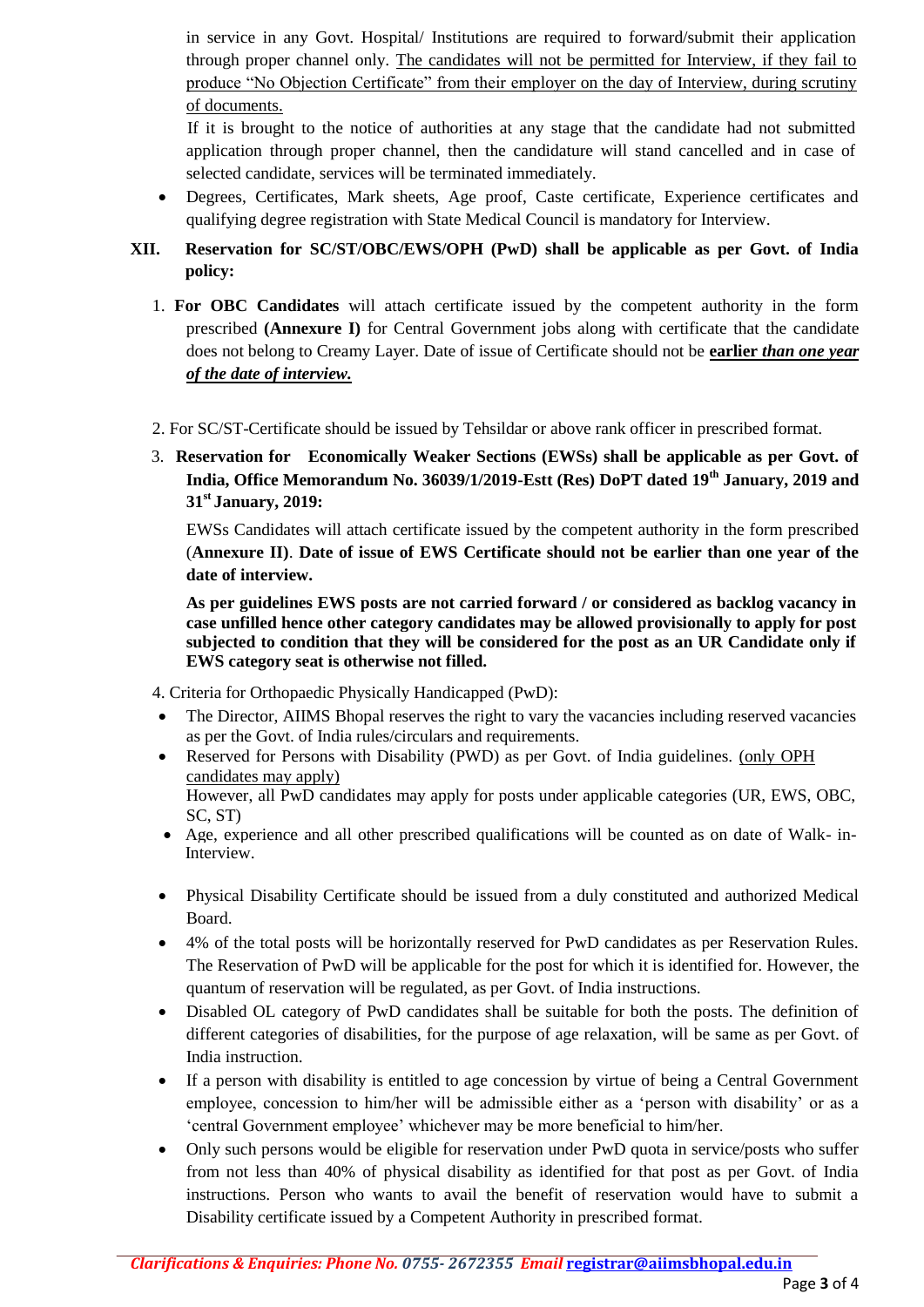in service in any Govt. Hospital/ Institutions are required to forward/submit their application through proper channel only. The candidates will not be permitted for Interview, if they fail to produce "No Objection Certificate" from their employer on the day of Interview, during scrutiny of documents.

If it is brought to the notice of authorities at any stage that the candidate had not submitted application through proper channel, then the candidature will stand cancelled and in case of selected candidate, services will be terminated immediately.

- Degrees, Certificates, Mark sheets, Age proof, Caste certificate, Experience certificates and qualifying degree registration with State Medical Council is mandatory for Interview.
- **XII. Reservation for SC/ST/OBC/EWS/OPH (PwD) shall be applicable as per Govt. of India policy:**
	- 1. **For OBC Candidates** will attach certificate issued by the competent authority in the form prescribed **(Annexure I)** for Central Government jobs along with certificate that the candidate does not belong to Creamy Layer. Date of issue of Certificate should not be **earlier** *than one year of the date of interview.*
	- 2. For SC/ST-Certificate should be issued by Tehsildar or above rank officer in prescribed format.
	- 3. **Reservation for Economically Weaker Sections (EWSs) shall be applicable as per Govt. of India, Office Memorandum No. 36039/1/2019-Estt (Res) DoPT dated 19th January, 2019 and 31st January, 2019:**

EWSs Candidates will attach certificate issued by the competent authority in the form prescribed (**Annexure II)**. **Date of issue of EWS Certificate should not be earlier than one year of the date of interview.**

**As per guidelines EWS posts are not carried forward / or considered as backlog vacancy in case unfilled hence other category candidates may be allowed provisionally to apply for post subjected to condition that they will be considered for the post as an UR Candidate only if EWS category seat is otherwise not filled.**

4. Criteria for Orthopaedic Physically Handicapped (PwD):

- The Director, AIIMS Bhopal reserves the right to vary the vacancies including reserved vacancies as per the Govt. of India rules/circulars and requirements.
- Reserved for Persons with Disability (PWD) as per Govt. of India guidelines. (only OPH candidates may apply) However, all PwD candidates may apply for posts under applicable categories (UR, EWS, OBC, SC, ST)
- Age, experience and all other prescribed qualifications will be counted as on date of Walk- in-Interview.
- Physical Disability Certificate should be issued from a duly constituted and authorized Medical Board.
- 4% of the total posts will be horizontally reserved for PwD candidates as per Reservation Rules. The Reservation of PwD will be applicable for the post for which it is identified for. However, the quantum of reservation will be regulated, as per Govt. of India instructions.
- Disabled OL category of PwD candidates shall be suitable for both the posts. The definition of different categories of disabilities, for the purpose of age relaxation, will be same as per Govt. of India instruction.
- If a person with disability is entitled to age concession by virtue of being a Central Government employee, concession to him/her will be admissible either as a 'person with disability' or as a 'central Government employee' whichever may be more beneficial to him/her.
- Only such persons would be eligible for reservation under PwD quota in service/posts who suffer from not less than 40% of physical disability as identified for that post as per Govt. of India instructions. Person who wants to avail the benefit of reservation would have to submit a Disability certificate issued by a Competent Authority in prescribed format.